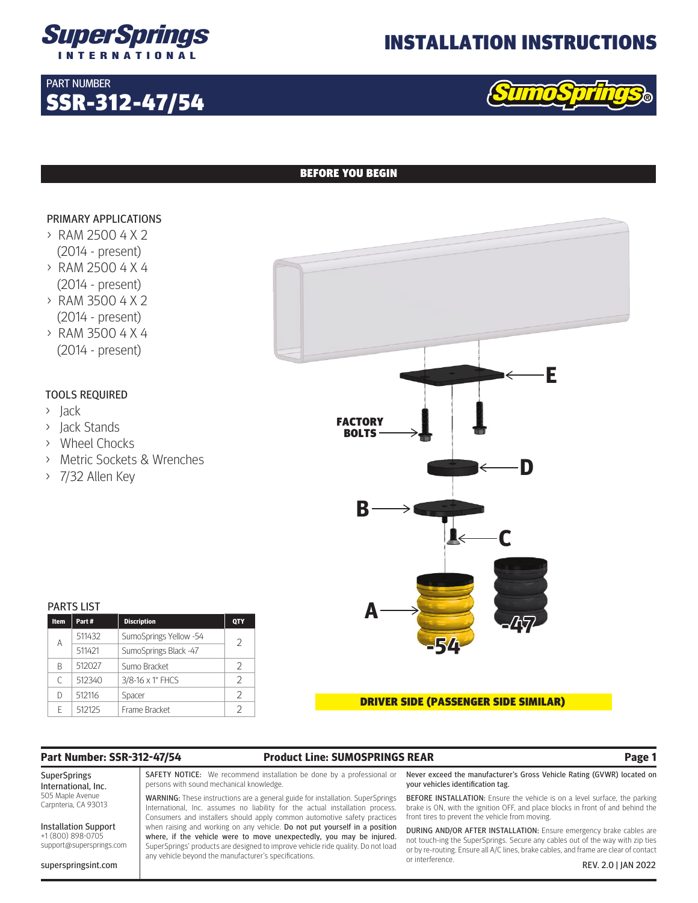

SSR-312-47/54

## INSTALLATION INSTRUCTIONS



## BEFORE YOU BEGIN

### PRIMARY APPLICATIONS

PART NUMBER

- > RAM 2500 4 X 2 (2014 - present)
- > RAM 2500 4 X 4 (2014 - present)
- > RAM 3500 4 X 2 (2014 - present) > RAM 3500 4 X 4
- (2014 present)

### TOOLS REQUIRED

- > Jack
- > Jack Stands
- > Wheel Chocks
- > Metric Sockets & Wrenches
- > 7/32 Allen Key

| <b>PARTS LIST</b> |        |                        |            |  |
|-------------------|--------|------------------------|------------|--|
| Item              | Part#  | <b>Discription</b>     | <b>QTY</b> |  |
| А                 | 511432 | SumoSprings Yellow -54 | 2          |  |
|                   | 511421 | SumoSprings Black -47  |            |  |
| R                 | 512027 | Sumo Bracket           | 2          |  |
| C                 | 512340 | 3/8-16 x 1" FHCS       | V          |  |
| D                 | 512116 | Spacer                 | V          |  |
|                   | 512125 | Frame Bracket          | フ          |  |



## **Part Number: SSR-312-47/54 Product Line: SUMOSPRINGS REAR Page 1**

SuperSprings International, Inc. 505 Maple Avenue Carpnteria, CA 93013

Installation Support +1 (800) 898-0705 support@supersprings.com

superspringsint.com

SAFETY NOTICE: We recommend installation be done by a professional or persons with sound mechanical knowledge.

WARNING: These instructions are a general guide for installation. SuperSprings International, Inc. assumes no liability for the actual installation process. Consumers and installers should apply common automotive safety practices when raising and working on any vehicle. Do not put yourself in a position where, if the vehicle were to move unexpectedly, you may be injured. SuperSprings' products are designed to improve vehicle ride quality. Do not load any vehicle beyond the manufacturer's specifications.

Never exceed the manufacturer's Gross Vehicle Rating (GVWR) located on your vehicles identification tag.

BEFORE INSTALLATION: Ensure the vehicle is on a level surface, the parking brake is ON, with the ignition OFF, and place blocks in front of and behind the front tires to prevent the vehicle from moving.

DURING AND/OR AFTER INSTALLATION: Ensure emergency brake cables are not touch-ing the SuperSprings. Secure any cables out of the way with zip ties or by re-routing. Ensure all A/C lines, brake cables, and frame are clear of contact or interference. REV. 2.0 | JAN 2022